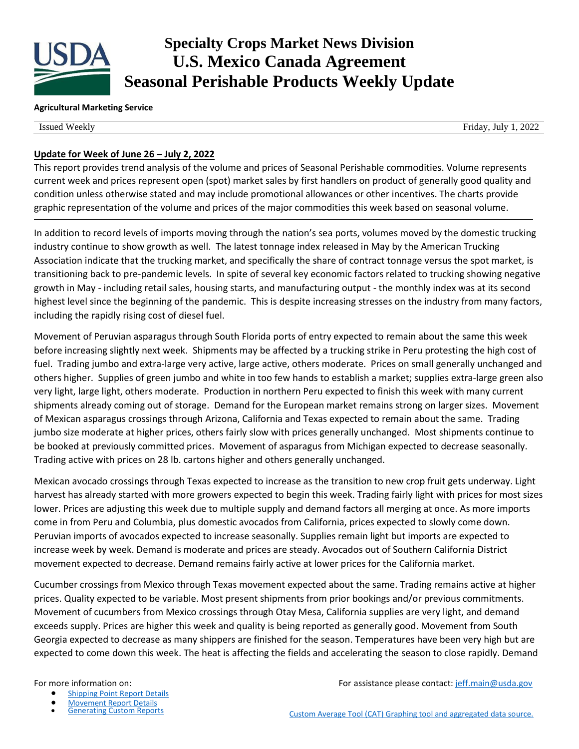

# **Specialty Crops Market News Division U.S. Mexico Canada Agreement Seasonal Perishable Products Weekly Update**

#### **Agricultural Marketing Service**

Issued Weekly Friday, July 1, 2022

### **Update for Week of June 26 – July 2, 2022**

This report provides trend analysis of the volume and prices of Seasonal Perishable commodities. Volume represents current week and prices represent open (spot) market sales by first handlers on product of generally good quality and condition unless otherwise stated and may include promotional allowances or other incentives. The charts provide graphic representation of the volume and prices of the major commodities this week based on seasonal volume.

In addition to record levels of imports moving through the nation's sea ports, volumes moved by the domestic trucking industry continue to show growth as well. The latest tonnage index released in May by the American Trucking Association indicate that the trucking market, and specifically the share of contract tonnage versus the spot market, is transitioning back to pre-pandemic levels. In spite of several key economic factors related to trucking showing negative growth in May - including retail sales, housing starts, and manufacturing output - the monthly index was at its second highest level since the beginning of the pandemic. This is despite increasing stresses on the industry from many factors, including the rapidly rising cost of diesel fuel.

Movement of Peruvian asparagus through South Florida ports of entry expected to remain about the same this week before increasing slightly next week. Shipments may be affected by a trucking strike in Peru protesting the high cost of fuel. Trading jumbo and extra-large very active, large active, others moderate. Prices on small generally unchanged and others higher. Supplies of green jumbo and white in too few hands to establish a market; supplies extra-large green also very light, large light, others moderate. Production in northern Peru expected to finish this week with many current shipments already coming out of storage. Demand for the European market remains strong on larger sizes. Movement of Mexican asparagus crossings through Arizona, California and Texas expected to remain about the same. Trading jumbo size moderate at higher prices, others fairly slow with prices generally unchanged. Most shipments continue to be booked at previously committed prices. Movement of asparagus from Michigan expected to decrease seasonally. Trading active with prices on 28 lb. cartons higher and others generally unchanged.

Mexican avocado crossings through Texas expected to increase as the transition to new crop fruit gets underway. Light harvest has already started with more growers expected to begin this week. Trading fairly light with prices for most sizes lower. Prices are adjusting this week due to multiple supply and demand factors all merging at once. As more imports come in from Peru and Columbia, plus domestic avocados from California, prices expected to slowly come down. Peruvian imports of avocados expected to increase seasonally. Supplies remain light but imports are expected to increase week by week. Demand is moderate and prices are steady. Avocados out of Southern California District movement expected to decrease. Demand remains fairly active at lower prices for the California market.

Cucumber crossings from Mexico through Texas movement expected about the same. Trading remains active at higher prices. Quality expected to be variable. Most present shipments from prior bookings and/or previous commitments. Movement of cucumbers from Mexico crossings through Otay Mesa, California supplies are very light, and demand exceeds supply. Prices are higher this week and quality is being reported as generally good. Movement from South Georgia expected to decrease as many shippers are finished for the season. Temperatures have been very high but are expected to come down this week. The heat is affecting the fields and accelerating the season to close rapidly. Demand

- [Shipping Point Report Details](https://www.marketnews.usda.gov/mnp/fv-help-15)
- 
- **[Movement Report Details](https://www.marketnews.usda.gov/mnp/fv-help-16)<br>Generating Custom Reports**

For more information on: For assistance please contact: [jeff.main@usda.gov](mailto:jeff.main@usda.gov)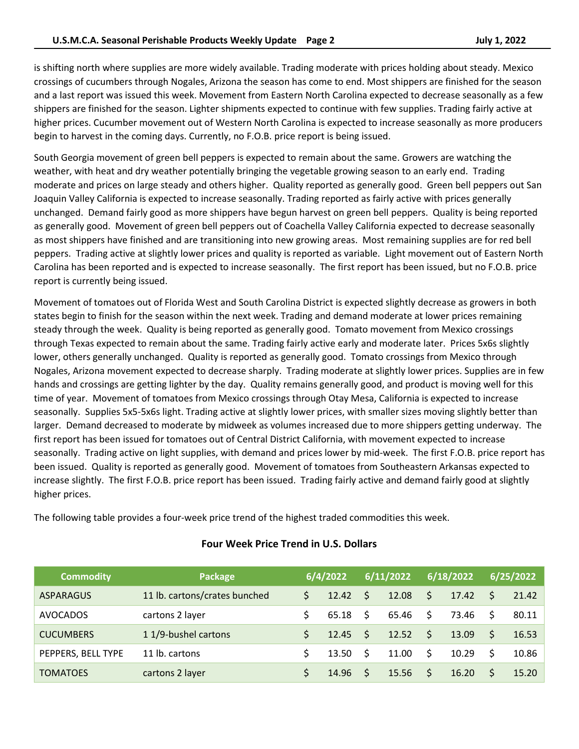is shifting north where supplies are more widely available. Trading moderate with prices holding about steady. Mexico crossings of cucumbers through Nogales, Arizona the season has come to end. Most shippers are finished for the season and a last report was issued this week. Movement from Eastern North Carolina expected to decrease seasonally as a few shippers are finished for the season. Lighter shipments expected to continue with few supplies. Trading fairly active at higher prices. Cucumber movement out of Western North Carolina is expected to increase seasonally as more producers begin to harvest in the coming days. Currently, no F.O.B. price report is being issued.

South Georgia movement of green bell peppers is expected to remain about the same. Growers are watching the weather, with heat and dry weather potentially bringing the vegetable growing season to an early end. Trading moderate and prices on large steady and others higher. Quality reported as generally good. Green bell peppers out San Joaquin Valley California is expected to increase seasonally. Trading reported as fairly active with prices generally unchanged. Demand fairly good as more shippers have begun harvest on green bell peppers. Quality is being reported as generally good. Movement of green bell peppers out of Coachella Valley California expected to decrease seasonally as most shippers have finished and are transitioning into new growing areas. Most remaining supplies are for red bell peppers. Trading active at slightly lower prices and quality is reported as variable. Light movement out of Eastern North Carolina has been reported and is expected to increase seasonally. The first report has been issued, but no F.O.B. price report is currently being issued.

Movement of tomatoes out of Florida West and South Carolina District is expected slightly decrease as growers in both states begin to finish for the season within the next week. Trading and demand moderate at lower prices remaining steady through the week. Quality is being reported as generally good. Tomato movement from Mexico crossings through Texas expected to remain about the same. Trading fairly active early and moderate later. Prices 5x6s slightly lower, others generally unchanged. Quality is reported as generally good. Tomato crossings from Mexico through Nogales, Arizona movement expected to decrease sharply. Trading moderate at slightly lower prices. Supplies are in few hands and crossings are getting lighter by the day. Quality remains generally good, and product is moving well for this time of year. Movement of tomatoes from Mexico crossings through Otay Mesa, California is expected to increase seasonally. Supplies 5x5-5x6s light. Trading active at slightly lower prices, with smaller sizes moving slightly better than larger. Demand decreased to moderate by midweek as volumes increased due to more shippers getting underway. The first report has been issued for tomatoes out of Central District California, with movement expected to increase seasonally. Trading active on light supplies, with demand and prices lower by mid-week. The first F.O.B. price report has been issued. Quality is reported as generally good. Movement of tomatoes from Southeastern Arkansas expected to increase slightly. The first F.O.B. price report has been issued. Trading fairly active and demand fairly good at slightly higher prices.

The following table provides a four-week price trend of the highest traded commodities this week.

| <b>Commodity</b>   | Package                       |    | 6/4/2022      |              | 6/11/2022 |                     | 6/18/2022 |    | 6/25/2022 |
|--------------------|-------------------------------|----|---------------|--------------|-----------|---------------------|-----------|----|-----------|
| <b>ASPARAGUS</b>   | 11 lb. cartons/crates bunched | Ś. | 12.42         | - \$         | 12.08     | $\mathsf{S}$        | 17.42     | S. | 21.42     |
| <b>AVOCADOS</b>    | cartons 2 layer               |    | 65.18         | - S          | 65.46     | \$.                 | 73.46     |    | 80.11     |
| <b>CUCUMBERS</b>   | 1 1/9-bushel cartons          |    | $12.45 \quad$ |              | 12.52     | $\ddot{\mathsf{S}}$ | 13.09     | S. | 16.53     |
| PEPPERS, BELL TYPE | 11 lb. cartons                |    | 13.50         | - \$         | 11.00     | Ŝ.                  | 10.29     | Ŝ. | 10.86     |
| <b>TOMATOES</b>    | cartons 2 layer               |    | 14.96         | <sup>S</sup> | 15.56     | \$                  | 16.20     |    | 15.20     |

# **Four Week Price Trend in U.S. Dollars**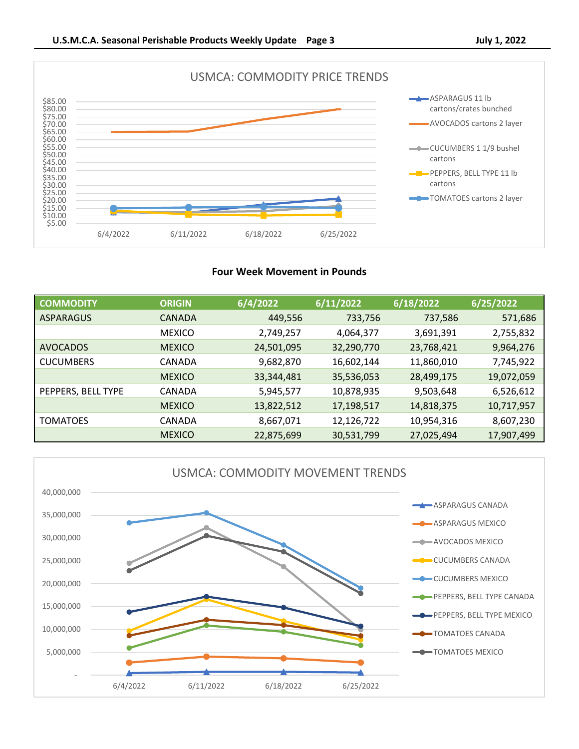

# **Four Week Movement in Pounds**

| <b>COMMODITY</b>   | <b>ORIGIN</b> | 6/4/2022   | 6/11/2022  | 6/18/2022  | 6/25/2022  |
|--------------------|---------------|------------|------------|------------|------------|
| ASPARAGUS          | CANADA        | 449,556    | 733,756    | 737,586    | 571,686    |
|                    | <b>MEXICO</b> | 2,749,257  | 4,064,377  | 3,691,391  | 2,755,832  |
| <b>AVOCADOS</b>    | <b>MEXICO</b> | 24,501,095 | 32,290,770 | 23,768,421 | 9,964,276  |
| <b>CUCUMBERS</b>   | CANADA        | 9,682,870  | 16,602,144 | 11,860,010 | 7,745,922  |
|                    | <b>MEXICO</b> | 33,344,481 | 35,536,053 | 28,499,175 | 19,072,059 |
| PEPPERS, BELL TYPE | CANADA        | 5,945,577  | 10,878,935 | 9,503,648  | 6,526,612  |
|                    | <b>MEXICO</b> | 13,822,512 | 17,198,517 | 14,818,375 | 10,717,957 |
| <b>TOMATOES</b>    | CANADA        | 8,667,071  | 12,126,722 | 10,954,316 | 8,607,230  |
|                    | <b>MEXICO</b> | 22,875,699 | 30,531,799 | 27,025,494 | 17,907,499 |